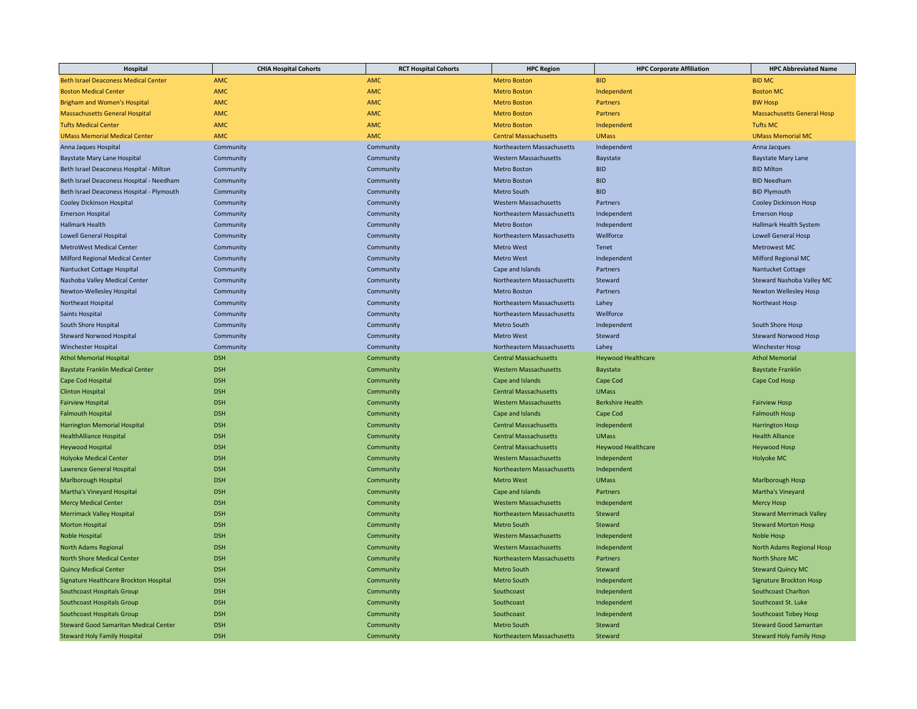| <b>Beth Israel Deaconess Medical Center</b><br><b>AMC</b><br><b>AMC</b><br><b>Metro Boston</b><br><b>BID</b><br><b>BID MC</b><br><b>AMC</b><br><b>Boston Medical Center</b><br>AMC<br><b>Metro Boston</b><br>Independent<br><b>Boston MC</b><br><b>AMC</b><br><b>AMC</b><br><b>BW Hosp</b><br><b>Brigham and Women's Hospital</b><br><b>Metro Boston</b><br>Partners<br><b>AMC</b><br>AMC<br><b>Massachusetts General Hospital</b><br><b>Metro Boston</b><br>Partners<br><b>Massachusetts General Hosp</b><br><b>Tufts Medical Center</b><br><b>AMC</b><br><b>AMC</b><br><b>Metro Boston</b><br>Independent<br><b>Tufts MC</b><br><b>UMass Memorial Medical Center</b><br><b>AMC</b><br><b>AMC</b><br><b>UMass</b><br><b>UMass Memorial MC</b><br><b>Central Massachusetts</b><br>Community<br>Community<br>Northeastern Massachusetts<br>Anna Jaques Hospital<br>Independent<br>Anna Jacques<br>Baystate Mary Lane Hospital<br>Community<br>Community<br><b>Western Massachusetts</b><br>Baystate<br><b>Baystate Mary Lane</b> |
|---------------------------------------------------------------------------------------------------------------------------------------------------------------------------------------------------------------------------------------------------------------------------------------------------------------------------------------------------------------------------------------------------------------------------------------------------------------------------------------------------------------------------------------------------------------------------------------------------------------------------------------------------------------------------------------------------------------------------------------------------------------------------------------------------------------------------------------------------------------------------------------------------------------------------------------------------------------------------------------------------------------------------------|
|                                                                                                                                                                                                                                                                                                                                                                                                                                                                                                                                                                                                                                                                                                                                                                                                                                                                                                                                                                                                                                 |
|                                                                                                                                                                                                                                                                                                                                                                                                                                                                                                                                                                                                                                                                                                                                                                                                                                                                                                                                                                                                                                 |
|                                                                                                                                                                                                                                                                                                                                                                                                                                                                                                                                                                                                                                                                                                                                                                                                                                                                                                                                                                                                                                 |
|                                                                                                                                                                                                                                                                                                                                                                                                                                                                                                                                                                                                                                                                                                                                                                                                                                                                                                                                                                                                                                 |
|                                                                                                                                                                                                                                                                                                                                                                                                                                                                                                                                                                                                                                                                                                                                                                                                                                                                                                                                                                                                                                 |
|                                                                                                                                                                                                                                                                                                                                                                                                                                                                                                                                                                                                                                                                                                                                                                                                                                                                                                                                                                                                                                 |
|                                                                                                                                                                                                                                                                                                                                                                                                                                                                                                                                                                                                                                                                                                                                                                                                                                                                                                                                                                                                                                 |
|                                                                                                                                                                                                                                                                                                                                                                                                                                                                                                                                                                                                                                                                                                                                                                                                                                                                                                                                                                                                                                 |
| <b>BID</b><br><b>BID Milton</b><br>Beth Israel Deaconess Hospital - Milton<br>Community<br>Community<br><b>Metro Boston</b>                                                                                                                                                                                                                                                                                                                                                                                                                                                                                                                                                                                                                                                                                                                                                                                                                                                                                                     |
| Beth Israel Deaconess Hospital - Needham<br><b>Metro Boston</b><br><b>BID</b><br><b>BID Needham</b><br>Community<br>Community                                                                                                                                                                                                                                                                                                                                                                                                                                                                                                                                                                                                                                                                                                                                                                                                                                                                                                   |
| Beth Israel Deaconess Hospital - Plymouth<br>Community<br>Community<br>Metro South<br><b>BID</b><br><b>BID Plymouth</b>                                                                                                                                                                                                                                                                                                                                                                                                                                                                                                                                                                                                                                                                                                                                                                                                                                                                                                         |
| Cooley Dickinson Hosp<br>Cooley Dickinson Hospital<br>Community<br>Community<br><b>Western Massachusetts</b><br>Partners                                                                                                                                                                                                                                                                                                                                                                                                                                                                                                                                                                                                                                                                                                                                                                                                                                                                                                        |
| <b>Emerson Hospital</b><br>Community<br>Community<br>Northeastern Massachusetts<br>Independent<br><b>Emerson Hosp</b>                                                                                                                                                                                                                                                                                                                                                                                                                                                                                                                                                                                                                                                                                                                                                                                                                                                                                                           |
| <b>Hallmark Health</b><br><b>Metro Boston</b><br>Independent<br>Hallmark Health System<br>Community<br>Community                                                                                                                                                                                                                                                                                                                                                                                                                                                                                                                                                                                                                                                                                                                                                                                                                                                                                                                |
| <b>Lowell General Hospital</b><br>Community<br>Community<br>Northeastern Massachusetts<br>Wellforce<br><b>Lowell General Hosp</b>                                                                                                                                                                                                                                                                                                                                                                                                                                                                                                                                                                                                                                                                                                                                                                                                                                                                                               |
| <b>MetroWest Medical Center</b><br>Community<br>Community<br><b>Metro West</b><br>Tenet<br><b>Metrowest MC</b>                                                                                                                                                                                                                                                                                                                                                                                                                                                                                                                                                                                                                                                                                                                                                                                                                                                                                                                  |
| <b>Milford Regional Medical Center</b><br>Milford Regional MC<br>Community<br>Community<br><b>Metro West</b><br>Independent                                                                                                                                                                                                                                                                                                                                                                                                                                                                                                                                                                                                                                                                                                                                                                                                                                                                                                     |
| Nantucket Cottage Hospital<br>Community<br>Cape and Islands<br>Partners<br>Nantucket Cottage<br>Community                                                                                                                                                                                                                                                                                                                                                                                                                                                                                                                                                                                                                                                                                                                                                                                                                                                                                                                       |
| Nashoba Valley Medical Center<br>Community<br>Community<br>Northeastern Massachusetts<br>Steward<br>Steward Nashoba Valley MC                                                                                                                                                                                                                                                                                                                                                                                                                                                                                                                                                                                                                                                                                                                                                                                                                                                                                                   |
| Newton Wellesley Hosp<br>Newton-Wellesley Hospital<br>Community<br>Community<br><b>Metro Boston</b><br>Partners                                                                                                                                                                                                                                                                                                                                                                                                                                                                                                                                                                                                                                                                                                                                                                                                                                                                                                                 |
| Northeast Hospital<br>Northeastern Massachusetts<br>Lahey<br>Northeast Hosp<br>Community<br>Community                                                                                                                                                                                                                                                                                                                                                                                                                                                                                                                                                                                                                                                                                                                                                                                                                                                                                                                           |
| Saints Hospital<br>Community<br>Community<br>Northeastern Massachusetts<br>Wellforce                                                                                                                                                                                                                                                                                                                                                                                                                                                                                                                                                                                                                                                                                                                                                                                                                                                                                                                                            |
| South Shore Hospital<br>Community<br>Community<br>Metro South<br>Independent<br>South Shore Hosp                                                                                                                                                                                                                                                                                                                                                                                                                                                                                                                                                                                                                                                                                                                                                                                                                                                                                                                                |
| <b>Steward Norwood Hospital</b><br>Community<br>Community<br><b>Metro West</b><br>Steward<br><b>Steward Norwood Hosp</b>                                                                                                                                                                                                                                                                                                                                                                                                                                                                                                                                                                                                                                                                                                                                                                                                                                                                                                        |
| <b>Winchester Hospital</b><br>Community<br>Northeastern Massachusetts<br>Lahey<br><b>Winchester Hosp</b><br>Community                                                                                                                                                                                                                                                                                                                                                                                                                                                                                                                                                                                                                                                                                                                                                                                                                                                                                                           |
| <b>Athol Memorial Hospital</b><br><b>DSH</b><br><b>Heywood Healthcare</b><br><b>Athol Memorial</b><br>Community<br><b>Central Massachusetts</b>                                                                                                                                                                                                                                                                                                                                                                                                                                                                                                                                                                                                                                                                                                                                                                                                                                                                                 |
| <b>DSH</b><br><b>Baystate Franklin Medical Center</b><br>Community<br><b>Western Massachusetts</b><br>Baystate<br><b>Baystate Franklin</b>                                                                                                                                                                                                                                                                                                                                                                                                                                                                                                                                                                                                                                                                                                                                                                                                                                                                                      |
| Cape Cod Hospital<br><b>DSH</b><br>Community<br>Cape and Islands<br>Cape Cod<br>Cape Cod Hosp                                                                                                                                                                                                                                                                                                                                                                                                                                                                                                                                                                                                                                                                                                                                                                                                                                                                                                                                   |
| <b>DSH</b><br><b>UMass</b><br><b>Clinton Hospital</b><br><b>Central Massachusetts</b><br>Community                                                                                                                                                                                                                                                                                                                                                                                                                                                                                                                                                                                                                                                                                                                                                                                                                                                                                                                              |
| <b>DSH</b><br><b>Western Massachusetts</b><br><b>Berkshire Health</b><br><b>Fairview Hospital</b><br>Community<br><b>Fairview Hosp</b>                                                                                                                                                                                                                                                                                                                                                                                                                                                                                                                                                                                                                                                                                                                                                                                                                                                                                          |
| <b>Falmouth Hospital</b><br><b>DSH</b><br>Cape Cod<br>Community<br>Cape and Islands<br><b>Falmouth Hosp</b>                                                                                                                                                                                                                                                                                                                                                                                                                                                                                                                                                                                                                                                                                                                                                                                                                                                                                                                     |
| <b>Harrington Memorial Hospital</b><br><b>DSH</b><br><b>Central Massachusetts</b><br><b>Harrington Hosp</b><br>Community<br>Independent                                                                                                                                                                                                                                                                                                                                                                                                                                                                                                                                                                                                                                                                                                                                                                                                                                                                                         |
| <b>DSH</b><br><b>HealthAlliance Hospital</b><br>Community<br><b>Central Massachusetts</b><br><b>UMass</b><br><b>Health Alliance</b>                                                                                                                                                                                                                                                                                                                                                                                                                                                                                                                                                                                                                                                                                                                                                                                                                                                                                             |
| <b>DSH</b><br><b>Heywood Hospital</b><br>Community<br><b>Central Massachusetts</b><br><b>Heywood Healthcare</b><br><b>Heywood Hosp</b>                                                                                                                                                                                                                                                                                                                                                                                                                                                                                                                                                                                                                                                                                                                                                                                                                                                                                          |
| <b>Holyoke Medical Center</b><br><b>DSH</b><br>Community<br><b>Western Massachusetts</b><br>Independent<br>Holyoke MC                                                                                                                                                                                                                                                                                                                                                                                                                                                                                                                                                                                                                                                                                                                                                                                                                                                                                                           |
| <b>DSH</b><br><b>Lawrence General Hospital</b><br>Community<br>Northeastern Massachusetts<br>Independent                                                                                                                                                                                                                                                                                                                                                                                                                                                                                                                                                                                                                                                                                                                                                                                                                                                                                                                        |
| <b>DSH</b><br><b>Marlborough Hospital</b><br>Community<br><b>Metro West</b><br><b>UMass</b><br>Marlborough Hosp                                                                                                                                                                                                                                                                                                                                                                                                                                                                                                                                                                                                                                                                                                                                                                                                                                                                                                                 |
| <b>DSH</b><br>Martha's Vineyard Hospital<br>Cape and Islands<br>Martha's Vineyard<br>Community<br>Partners                                                                                                                                                                                                                                                                                                                                                                                                                                                                                                                                                                                                                                                                                                                                                                                                                                                                                                                      |
| <b>Mercy Medical Center</b><br><b>DSH</b><br><b>Western Massachusetts</b><br>Community<br>Independent<br><b>Mercy Hosp</b>                                                                                                                                                                                                                                                                                                                                                                                                                                                                                                                                                                                                                                                                                                                                                                                                                                                                                                      |
| <b>Merrimack Valley Hospital</b><br><b>DSH</b><br>Community<br>Northeastern Massachusetts<br>Steward<br><b>Steward Merrimack Valley</b>                                                                                                                                                                                                                                                                                                                                                                                                                                                                                                                                                                                                                                                                                                                                                                                                                                                                                         |
| <b>Morton Hospital</b><br><b>DSH</b><br><b>Metro South</b><br><b>Steward Morton Hosp</b><br>Community<br>Steward                                                                                                                                                                                                                                                                                                                                                                                                                                                                                                                                                                                                                                                                                                                                                                                                                                                                                                                |
| <b>DSH</b><br>Independent<br>Noble Hospital<br>Community<br><b>Western Massachusetts</b><br><b>Noble Hosp</b>                                                                                                                                                                                                                                                                                                                                                                                                                                                                                                                                                                                                                                                                                                                                                                                                                                                                                                                   |
| <b>DSH</b><br>North Adams Regional<br><b>Western Massachusetts</b><br>Independent<br>North Adams Regional Hosp<br>Community                                                                                                                                                                                                                                                                                                                                                                                                                                                                                                                                                                                                                                                                                                                                                                                                                                                                                                     |
| <b>North Shore Medical Center</b><br><b>DSH</b><br>Community<br>Northeastern Massachusetts<br>Partners<br>North Shore MC                                                                                                                                                                                                                                                                                                                                                                                                                                                                                                                                                                                                                                                                                                                                                                                                                                                                                                        |
| <b>Quincy Medical Center</b><br><b>DSH</b><br><b>Metro South</b><br>Steward<br><b>Steward Quincy MC</b><br>Community                                                                                                                                                                                                                                                                                                                                                                                                                                                                                                                                                                                                                                                                                                                                                                                                                                                                                                            |
| Signature Healthcare Brockton Hospital<br><b>DSH</b><br>Community<br>Metro South<br>Independent<br><b>Signature Brockton Hosp</b>                                                                                                                                                                                                                                                                                                                                                                                                                                                                                                                                                                                                                                                                                                                                                                                                                                                                                               |
| <b>DSH</b><br>Southcoast Charlton<br>Southcoast Hospitals Group<br>Community<br>Southcoast<br>Independent                                                                                                                                                                                                                                                                                                                                                                                                                                                                                                                                                                                                                                                                                                                                                                                                                                                                                                                       |
| <b>DSH</b><br>Southcoast Hospitals Group<br>Southcoast<br>Independent<br>Southcoast St. Luke<br>Community                                                                                                                                                                                                                                                                                                                                                                                                                                                                                                                                                                                                                                                                                                                                                                                                                                                                                                                       |
| <b>DSH</b><br>Southcoast<br><b>Southcoast Tobey Hosp</b><br><b>Southcoast Hospitals Group</b><br>Community<br>Independent                                                                                                                                                                                                                                                                                                                                                                                                                                                                                                                                                                                                                                                                                                                                                                                                                                                                                                       |
| <b>DSH</b><br><b>Steward Good Samaritan Medical Center</b><br>Community<br><b>Metro South</b><br>Steward<br><b>Steward Good Samaritan</b>                                                                                                                                                                                                                                                                                                                                                                                                                                                                                                                                                                                                                                                                                                                                                                                                                                                                                       |
| <b>DSH</b><br><b>Steward Holy Family Hosp</b><br><b>Steward Holy Family Hospital</b><br>Community<br>Northeastern Massachusetts<br>Steward                                                                                                                                                                                                                                                                                                                                                                                                                                                                                                                                                                                                                                                                                                                                                                                                                                                                                      |